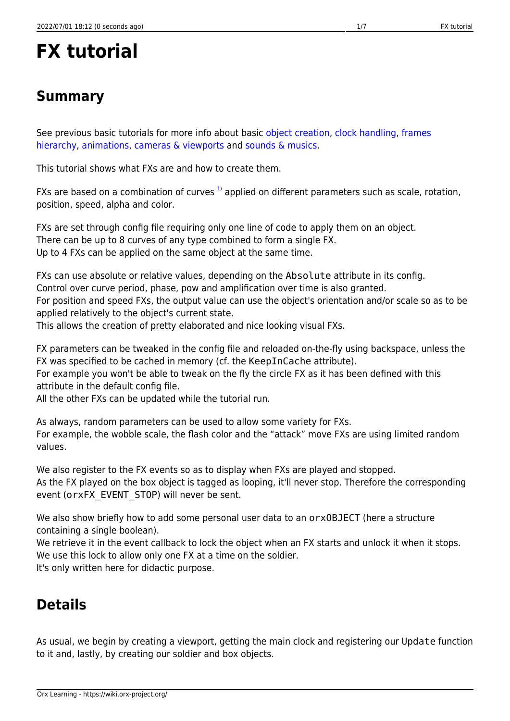## **FX tutorial**

## **Summary**

See previous basic tutorials for more info about basic [object creation,](https://wiki.orx-project.org/en/tutorials/objects/object) [clock handling,](https://wiki.orx-project.org/en/tutorials/clocks/clock) [frames](https://wiki.orx-project.org/en/tutorials/objects/frame) [hierarchy](https://wiki.orx-project.org/en/tutorials/objects/frame), [animations,](https://wiki.orx-project.org/en/tutorials/animation/anim) [cameras & viewports](https://wiki.orx-project.org/en/tutorials/viewport/viewport) and [sounds & musics](https://wiki.orx-project.org/en/tutorials/audio/sound).

This tutorial shows what FXs are and how to create them.

FXs are based on a combination of curves  $1$  applied on different parameters such as scale, rotation, position, speed, alpha and color.

FXs are set through config file requiring only one line of code to apply them on an object. There can be up to 8 curves of any type combined to form a single FX. Up to 4 FXs can be applied on the same object at the same time.

FXs can use absolute or relative values, depending on the Absolute attribute in its config. Control over curve period, phase, pow and amplification over time is also granted. For position and speed FXs, the output value can use the object's orientation and/or scale so as to be applied relatively to the object's current state.

This allows the creation of pretty elaborated and nice looking visual FXs.

FX parameters can be tweaked in the config file and reloaded on-the-fly using backspace, unless the FX was specified to be cached in memory (cf. the KeepInCache attribute).

For example you won't be able to tweak on the fly the circle FX as it has been defined with this attribute in the default config file.

All the other FXs can be updated while the tutorial run.

As always, random parameters can be used to allow some variety for FXs. For example, the wobble scale, the flash color and the "attack" move FXs are using limited random values.

We also register to the FX events so as to display when FXs are played and stopped. As the FX played on the box object is tagged as looping, it'll never stop. Therefore the corresponding event (orxFX\_EVENT\_STOP) will never be sent.

We also show briefly how to add some personal user data to an orxOBJECT (here a structure containing a single boolean).

We retrieve it in the event callback to lock the object when an FX starts and unlock it when it stops. We use this lock to allow only one FX at a time on the soldier.

It's only written here for didactic purpose.

## **Details**

As usual, we begin by creating a viewport, getting the main clock and registering our Update function to it and, lastly, by creating our soldier and box objects.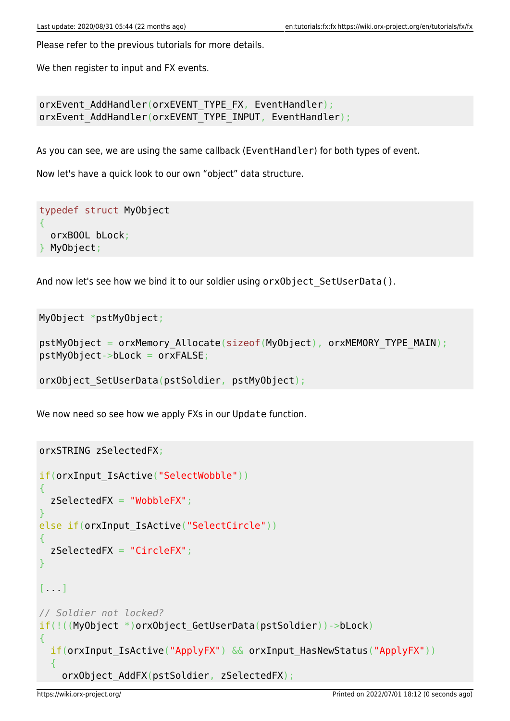Please refer to the previous tutorials for more details.

We then register to input and FX events.

```
orxEvent AddHandler(orxEVENT_TYPE_FX, EventHandler);
orxEvent AddHandler(orxEVENT_TYPE_INPUT, EventHandler);
```
As you can see, we are using the same callback (EventHandler) for both types of event.

Now let's have a quick look to our own "object" data structure.

typedef struct MyObject { orxBOOL bLock; } MyObject;

And now let's see how we bind it to our soldier using orxObject SetUserData().

MyObject \*pstMyObject;

```
pstMyObject = orxMemory_Allocate(sizeof(MyObject), orxMEMORY_TYPE_MAIN);
pstMyObject->bLock = orxFALSE;
```
orxObject\_SetUserData(pstSoldier, pstMyObject);

We now need so see how we apply FXs in our Update function.

```
orxSTRING zSelectedFX;
if(orxInput IsActive("SelectWobble"))
\mathcal{L} zSelectedFX = "WobbleFX";
}
else if(orxInput_IsActive("SelectCircle"))
{
   zSelectedFX = "CircleFX";
}
[...]
// Soldier not locked?
if(!((MyObject *)orxObject_GetUserData(pstSoldier))->bLock)
{
  if(orxInput IsActive("ApplyFX") && orxInput_HasNewStatus("ApplyFX"))
\rightarrow {
     orxObject_AddFX(pstSoldier, zSelectedFX);
```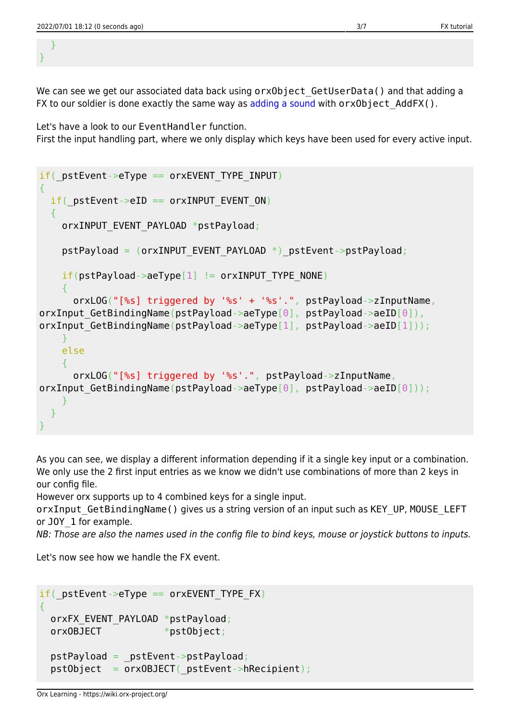} }

We can see we get our associated data back using orxObject GetUserData() and that adding a FX to our soldier is done exactly the same way as [adding a sound](https://wiki.orx-project.org/en/tutorials/audio/sound#details) with orxObject AddFX().

Let's have a look to our EventHandler function. First the input handling part, where we only display which keys have been used for every active input.

```
if( pstEvent->eType == orxEVENT TYPE INPUT)
\{if( pstEvent->eID == orxINPUT EVENT ON)
   {
    orxINPUT EVENT PAYLOAD *pstPayload;
    pstPayload = (orxINPUT EVENT PAYLOAD *) pstEvent->pstPayload;
    if(pstPayload - aefype[1] != or xINPUT TYPE-<br/>NOR) {
       orxLOG("[%s] triggered by '%s' + '%s'.", pstPayload->zInputName,
orxInput GetBindingName(pstPayload->aeType[0], pstPayload->aeID[0]),
orxInput GetBindingName(pstPayload->aeType[1], pstPayload->aeID[1]));
     }
     else
\overline{\phantom{a}} orxLOG("[%s] triggered by '%s'.", pstPayload->zInputName,
orxInput GetBindingName(pstPayload->aeType[0], pstPayload->aeID[0]));
     }
   }
}
```
As you can see, we display a different information depending if it a single key input or a combination. We only use the 2 first input entries as we know we didn't use combinations of more than 2 keys in our config file.

However orx supports up to 4 combined keys for a single input.

orxInput\_GetBindingName() gives us a string version of an input such as KEY\_UP, MOUSE\_LEFT or J0Y 1 for example.

NB: Those are also the names used in the config file to bind keys, mouse or joystick buttons to inputs.

Let's now see how we handle the FX event.

```
if( pstEvent->eType == orxEVENT TYPE FX)
{
 orxFX EVENT PAYLOAD *pstPayload;
 orxOBJECT *pstObject;
   pstPayload = _pstEvent->pstPayload;
   pstObject = orxOBJECT(_pstEvent->hRecipient);
```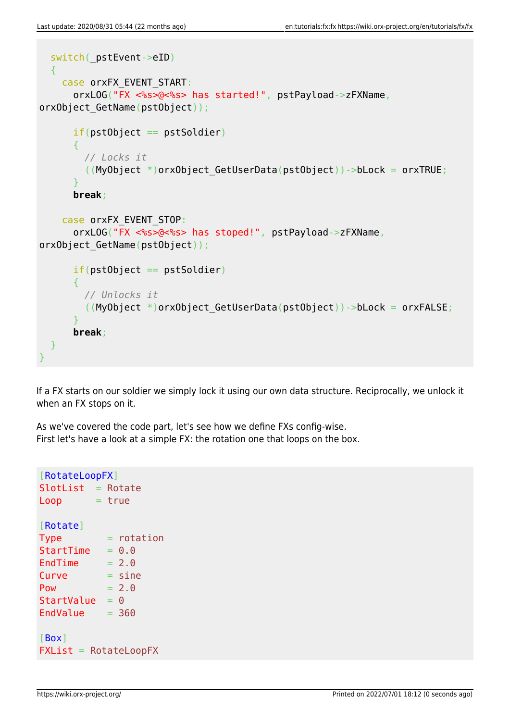```
switch( pstEvent->eID)
   {
    case orxFX EVENT START:
       orxLOG("FX <%s>@<%s> has started!", pstPayload->zFXName,
orxObject GetName(pstObject));
      if(pstObject == pstSolution) {
         // Locks it
        ((MyObject *)orxObject GetUserData(pstObject))->bLock = orxTRUE;
       }
       break;
     case orxFX_EVENT_STOP:
       orxLOG("FX <%s>@<%s> has stoped!", pstPayload->zFXName,
orxObject_GetName(pstObject));
      if(pstObject == pstSolution) {
         // Unlocks it
        (My0bject *)orxObject GetUserData(pstObject))->bLock = orxFALSE;
       }
       break;
  }
}
```
If a FX starts on our soldier we simply lock it using our own data structure. Reciprocally, we unlock it when an FX stops on it.

As we've covered the code part, let's see how we define FXs config-wise. First let's have a look at a simple FX: the rotation one that loops on the box.

```
[RotateLoopFX]
SlotList = RotateLoop = true
[Rotate]
Type = rotationStartTime = 0.0EndTime = 2.0Curve = sinePow = 2.0StartValue = 0EndValue = 360[Box]
\mathsf{FXList} = \mathsf{RotateLoopFX}
```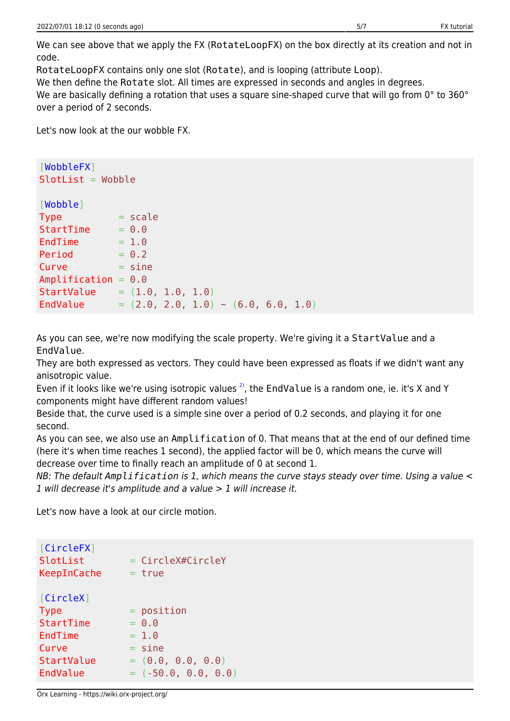We can see above that we apply the FX (RotateLoopFX) on the box directly at its creation and not in code.

RotateLoopFX contains only one slot (Rotate), and is looping (attribute Loop).

We then define the Rotate slot. All times are expressed in seconds and angles in degrees.

We are basically defining a rotation that uses a square sine-shaped curve that will go from 0° to 360° over a period of 2 seconds.

Let's now look at the our wobble FX.

```
[WobbleFX]
SlotList = Wobble[Wobble]
Type = scale
StartTime = 0.0EndTime = 1.0Period = 0.2Curve = sineAmplification = 0.0StartValue = (1.0, 1.0, 1.0)EndValue = (2.0, 2.0, 1.0) ~ (6.0, 6.0, 1.0)
```
As you can see, we're now modifying the scale property. We're giving it a StartValue and a EndValue.

They are both expressed as vectors. They could have been expressed as floats if we didn't want any anisotropic value.

Even if it looks like we're using isotropic values  $2$ , the EndValue is a random one, ie. it's X and Y components might have different random values!

Beside that, the curve used is a simple sine over a period of 0.2 seconds, and playing it for one second.

As you can see, we also use an Amplification of 0. That means that at the end of our defined time (here it's when time reaches 1 second), the applied factor will be 0, which means the curve will decrease over time to finally reach an amplitude of 0 at second 1.

NB: The default *Amplification* is 1, which means the curve stays steady over time. Using a value < 1 will decrease it's amplitude and a value > 1 will increase it.

Let's now have a look at our circle motion.

| [CircleFX]<br>SlotList<br>KeepInCache | $=$ CircleX#CircleY<br>= true |
|---------------------------------------|-------------------------------|
| [CircleX]                             |                               |
| <b>Type</b>                           | $=$ position                  |
| StartTime                             | $= 0.0$                       |
| EndTime                               | $= 1.0$                       |
| Curve                                 | $=$ sine                      |
| StartValue                            | $= (0.0, 0.0, 0.0)$           |
| EndValue                              | $= (-50.0, 0.0, 0.0)$         |

Orx Learning - https://wiki.orx-project.org/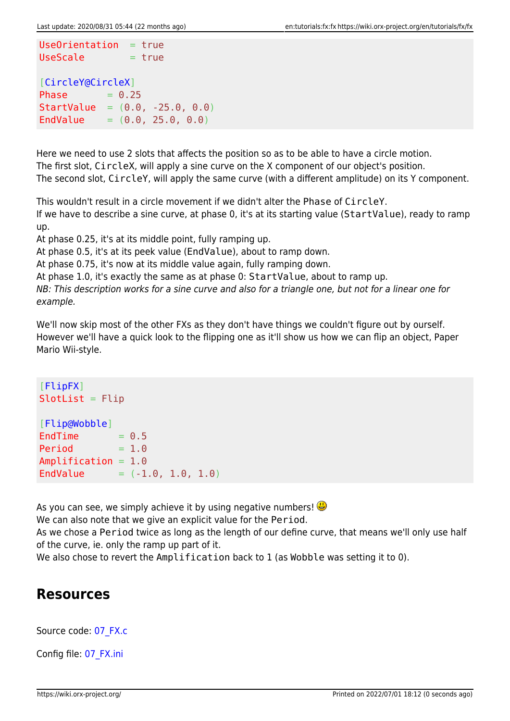```
Use Orientation = trueUseScale = true[CircleY@CircleX]
Phase = 0.25StartValue = (0.0, -25.0, 0.0)EndValue = (0.0, 25.0, 0.0)
```
Here we need to use 2 slots that affects the position so as to be able to have a circle motion. The first slot, CircleX, will apply a sine curve on the X component of our object's position. The second slot, CircleY, will apply the same curve (with a different amplitude) on its Y component.

This wouldn't result in a circle movement if we didn't alter the Phase of CircleY.

If we have to describe a sine curve, at phase 0, it's at its starting value (StartValue), ready to ramp up.

At phase 0.25, it's at its middle point, fully ramping up.

At phase 0.5, it's at its peek value (EndValue), about to ramp down.

At phase 0.75, it's now at its middle value again, fully ramping down.

At phase 1.0, it's exactly the same as at phase 0: StartValue, about to ramp up.

NB: This description works for a sine curve and also for a triangle one, but not for a linear one for example.

We'll now skip most of the other FXs as they don't have things we couldn't figure out by ourself. However we'll have a quick look to the flipping one as it'll show us how we can flip an object, Paper Mario Wii-style.

```
[FlipFX]
SlotList = Filip[Flip@Wobble]
EndTime = 0.5Period = 1.0Amplification = 1.0
EndValue = (-1.0, 1.0, 1.0)
```
As you can see, we simply achieve it by using negative numbers!  $\bigcirc$ 

We can also note that we give an explicit value for the Period.

As we chose a Period twice as long as the length of our define curve, that means we'll only use half of the curve, ie. only the ramp up part of it.

We also chose to revert the Amplification back to 1 (as Wobble was setting it to 0).

## **Resources**

Source code: [07\\_FX.c](https://github.com/orx/orx/blob/master/tutorial/src/07_FX.c)

Config file: [07\\_FX.ini](https://github.com/orx/orx/blob/master/tutorial/bin/07_FX.ini)